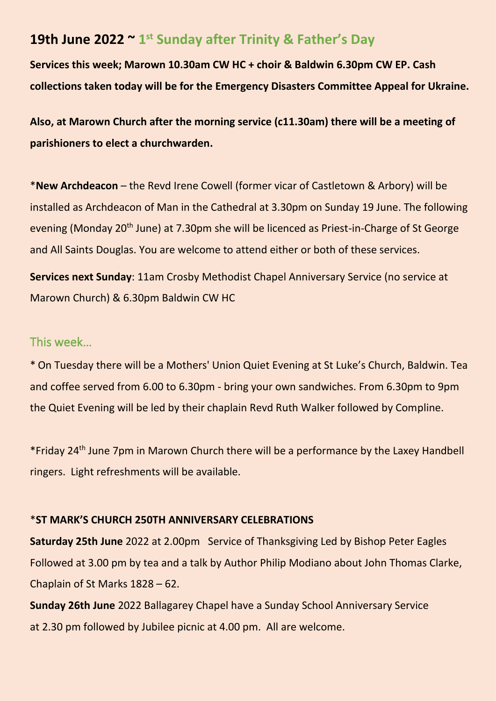# **19th June 2022 ~ 1 st Sunday after Trinity & Father's Day**

**Services this week; Marown 10.30am CW HC + choir & Baldwin 6.30pm CW EP. Cash collections taken today will be for the Emergency Disasters Committee Appeal for Ukraine.**

**Also, at Marown Church after the morning service (c11.30am) there will be a meeting of parishioners to elect a churchwarden.**

\***New Archdeacon** – the Revd Irene Cowell (former vicar of Castletown & Arbory) will be installed as Archdeacon of Man in the Cathedral at 3.30pm on Sunday 19 June. The following evening (Monday 20<sup>th</sup> June) at 7.30pm she will be licenced as Priest-in-Charge of St George and All Saints Douglas. You are welcome to attend either or both of these services.

**Services next Sunday**: 11am Crosby Methodist Chapel Anniversary Service (no service at Marown Church) & 6.30pm Baldwin CW HC

# This week…

\* On Tuesday there will be a Mothers' Union Quiet Evening at St Luke's Church, Baldwin. Tea and coffee served from 6.00 to 6.30pm - bring your own sandwiches. From 6.30pm to 9pm the Quiet Evening will be led by their chaplain Revd Ruth Walker followed by Compline.

\*Friday 24th June 7pm in Marown Church there will be a performance by the Laxey Handbell ringers. Light refreshments will be available.

#### \***ST MARK'S CHURCH 250TH ANNIVERSARY CELEBRATIONS**

**Saturday 25th June** 2022 at 2.00pm Service of Thanksgiving Led by Bishop Peter Eagles Followed at 3.00 pm by tea and a talk by Author Philip Modiano about John Thomas Clarke, Chaplain of St Marks 1828 – 62.

**Sunday 26th June** 2022 Ballagarey Chapel have a Sunday School Anniversary Service at 2.30 pm followed by Jubilee picnic at 4.00 pm. All are welcome.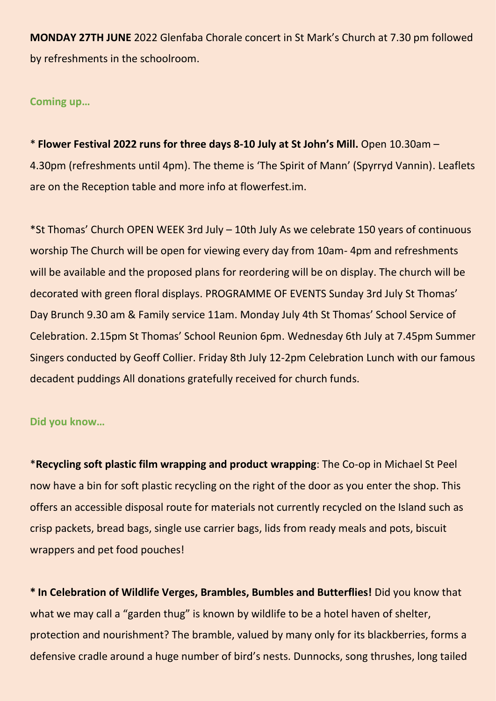**MONDAY 27TH JUNE** 2022 Glenfaba Chorale concert in St Mark's Church at 7.30 pm followed by refreshments in the schoolroom.

**Coming up…**

\* **Flower Festival 2022 runs for three days 8-10 July at St John's Mill.** Open 10.30am – 4.30pm (refreshments until 4pm). The theme is 'The Spirit of Mann' (Spyrryd Vannin). Leaflets are on the Reception table and more info at flowerfest.im.

\*St Thomas' Church OPEN WEEK 3rd July – 10th July As we celebrate 150 years of continuous worship The Church will be open for viewing every day from 10am- 4pm and refreshments will be available and the proposed plans for reordering will be on display. The church will be decorated with green floral displays. PROGRAMME OF EVENTS Sunday 3rd July St Thomas' Day Brunch 9.30 am & Family service 11am. Monday July 4th St Thomas' School Service of Celebration. 2.15pm St Thomas' School Reunion 6pm. Wednesday 6th July at 7.45pm Summer Singers conducted by Geoff Collier. Friday 8th July 12-2pm Celebration Lunch with our famous decadent puddings All donations gratefully received for church funds.

## **Did you know…**

\***Recycling soft plastic film wrapping and product wrapping**: The Co-op in Michael St Peel now have a bin for soft plastic recycling on the right of the door as you enter the shop. This offers an accessible disposal route for materials not currently recycled on the Island such as crisp packets, bread bags, single use carrier bags, lids from ready meals and pots, biscuit wrappers and pet food pouches!

**\* In Celebration of Wildlife Verges, Brambles, Bumbles and Butterflies!** Did you know that what we may call a "garden thug" is known by wildlife to be a hotel haven of shelter, protection and nourishment? The bramble, valued by many only for its blackberries, forms a defensive cradle around a huge number of bird's nests. Dunnocks, song thrushes, long tailed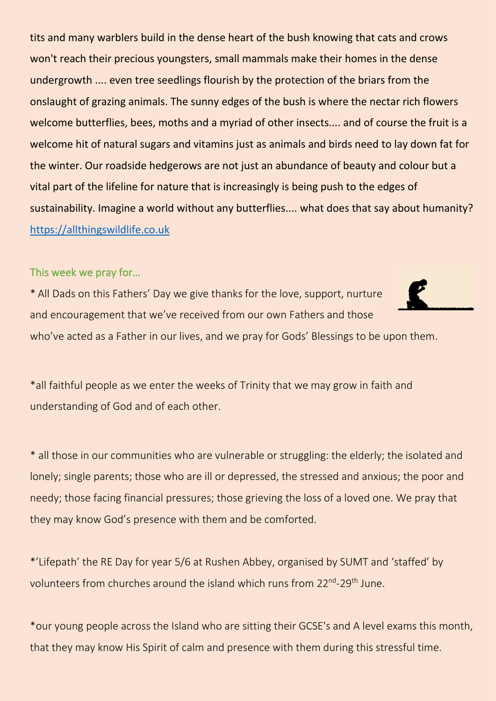tits and many warblers build in the dense heart of the bush knowing that cats and crows won't reach their precious youngsters, small mammals make their homes in the dense undergrowth .... even tree seedlings flourish by the protection of the briars from the onslaught of grazing animals. The sunny edges of the bush is where the nectar rich flowers welcome butterflies, bees, moths and a myriad of other insects.... and of course the fruit is a welcome hit of natural sugars and vitamins just as animals and birds need to lay down fat for the winter. Our roadside hedgerows are not just an abundance of beauty and colour but a vital part of the lifeline for nature that is increasingly is being push to the edges of sustainability. Imagine a world without any butterflies.... what does that say about humanity? [https://allthingswildlife.co.uk](https://allthingswildlife.co.uk/)

### This week we pray for…

\* All Dads on this Fathers' Day we give thanks for the love, support, nurture and encouragement that we've received from our own Fathers and those who've acted as a Father in our lives, and we pray for Gods' Blessings to be upon them.



\* all those in our communities who are vulnerable or struggling: the elderly; the isolated and lonely; single parents; those who are ill or depressed, the stressed and anxious; the poor and needy; those facing financial pressures; those grieving the loss of a loved one. We pray that they may know God's presence with them and be comforted.

\*'Lifepath' the RE Day for year 5/6 at Rushen Abbey, organised by SUMT and 'staffed' by volunteers from churches around the island which runs from 22<sup>nd</sup>-29<sup>th</sup> June.

\*our young people across the Island who are sitting their GCSE's and A level exams this month, that they may know His Spirit of calm and presence with them during this stressful time.